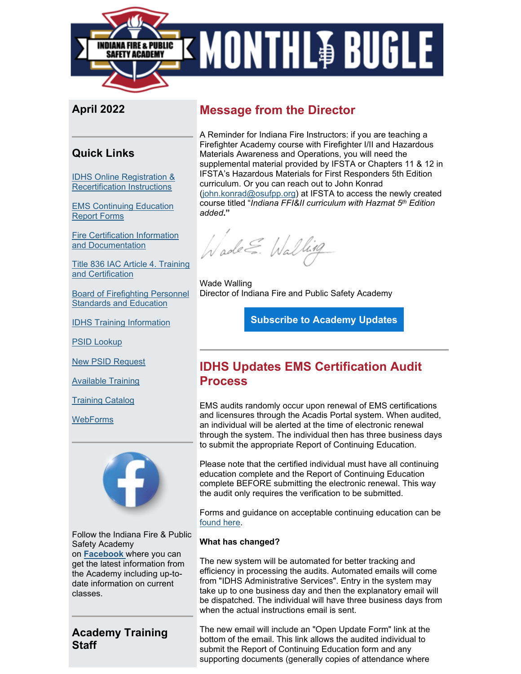

## **April 2022**

## **Quick Links**

[IDHS Online Registration &](https://www.in.gov/dhs/files/Portal_Instructions.pdf?utm_medium=email&utm_source=govdelivery)  [Recertification Instructions](https://www.in.gov/dhs/files/Portal_Instructions.pdf?utm_medium=email&utm_source=govdelivery)

[EMS Continuing Education](https://www.in.gov/dhs/3527.htm?utm_medium=email&utm_source=govdelivery)  [Report Forms](https://www.in.gov/dhs/3527.htm?utm_medium=email&utm_source=govdelivery)

[Fire Certification Information](https://www.in.gov/dhs/firecertification.htm?utm_medium=email&utm_source=govdelivery)  [and Documentation](https://www.in.gov/dhs/firecertification.htm?utm_medium=email&utm_source=govdelivery)

[Title 836 IAC Article 4. Training](http://iac.iga.in.gov/iac/T08360/A00040.PDF?utm_medium=email&utm_source=govdelivery)  [and Certification](http://iac.iga.in.gov/iac/T08360/A00040.PDF?utm_medium=email&utm_source=govdelivery)

[Board of Firefighting Personnel](https://www.in.gov/dhs/2366.htm?utm_medium=email&utm_source=govdelivery)  [Standards and Education](https://www.in.gov/dhs/2366.htm?utm_medium=email&utm_source=govdelivery)

[IDHS Training Information](https://www.in.gov/dhs/fire-and-building-safety/training-section/?utm_medium=email&utm_source=govdelivery)

[PSID Lookup](https://acadisportal.in.gov/acadisviewer/RetrieveAcademyID.aspx?utm_medium=email&utm_source=govdelivery)

[New PSID Request](https://www.in.gov/dhs/3207.htm?utm_medium=email&utm_source=govdelivery)

[Available Training](https://acadisportal.in.gov/AcadisViewer/Registration/ListOfAvailableTraining?utm_medium=email&utm_source=govdelivery)

[Training Catalog](https://acadisportal.in.gov/AcadisViewer/Registration/PublicTrainingCatalog.aspx?utm_medium=email&utm_source=govdelivery)

**[WebForms](https://acadisportal.in.gov/AcadisViewer/WebForms/Public/DataCollectorList.aspx?utm_medium=email&utm_source=govdelivery)** 



Follow the Indiana Fire & Public Safety Academy on **[Facebook](https://protect2.fireeye.com/v1/url?k=31323334-50bba2bf-31367a34-4544474f5631-0ab33c2b3ce421f6&q=1&e=4e13cd71-1316-499a-936d-52a5ccd0fbf6&u=https%3A%2F%2Fwww.facebook.com%2FIDHSTraining%2F%3Futm_medium%3Demail%26utm_source%3Dgovdelivery)** where you can get the latest information from the Academy including up-todate information on current classes.

## **Academy Training Staff**

## **Message from the Director**

A Reminder for Indiana Fire Instructors: if you are teaching a Firefighter Academy course with Firefighter I/II and Hazardous Materials Awareness and Operations, you will need the supplemental material provided by IFSTA or Chapters 11 & 12 in IFSTA's Hazardous Materials for First Responders 5th Edition curriculum. Or you can reach out to John Konrad [\(john.konrad@osufpp.org\)](mailto:john.konrad@osufpp.org) at IFSTA to access the newly created course titled "*Indiana FFI&II curriculum with Hazmat 5th Edition added***."**

Wade E. Walling

Wade Walling Director of Indiana Fire and Public Safety Academy

**[Subscribe to Academy Updates](https://www.in.gov/dhs/fire-and-building-safety/academy/?utm_medium=email&utm_source=govdelivery#Signup-label)**

## **IDHS Updates EMS Certification Audit Process**

EMS audits randomly occur upon renewal of EMS certifications and licensures through the Acadis Portal system. When audited, an individual will be alerted at the time of electronic renewal through the system. The individual then has three business days to submit the appropriate Report of Continuing Education.

Please note that the certified individual must have all continuing education complete and the Report of Continuing Education complete BEFORE submitting the electronic renewal. This way the audit only requires the verification to be submitted.

Forms and guidance on acceptable continuing education can be [found here.](https://www.in.gov/dhs/ems/individual-certifications/?utm_medium=email&utm_source=govdelivery)

#### **What has changed?**

The new system will be automated for better tracking and efficiency in processing the audits. Automated emails will come from "IDHS Administrative Services". Entry in the system may take up to one business day and then the explanatory email will be dispatched. The individual will have three business days from when the actual instructions email is sent.

The new email will include an "Open Update Form" link at the bottom of the email. This link allows the audited individual to submit the Report of Continuing Education form and any supporting documents (generally copies of attendance where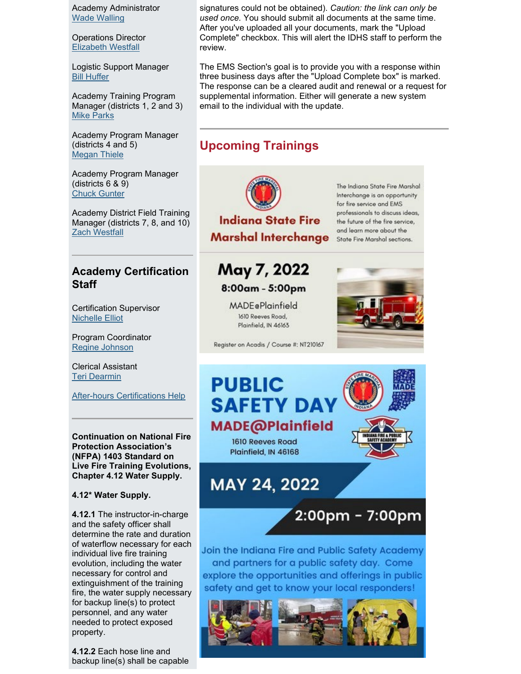Academy Administrator [Wade Walling](mailto:WWalling@dhs.in.gov)

Operations Director [Elizabeth Westfall](mailto:EWestfall@dhs.in.gov)

Logistic Support Manager [Bill Huffer](mailto:WHuffer@dhs.in.gov)

Academy Training Program Manager (districts 1, 2 and 3) [Mike Parks](mailto:MParks1@dhs.in.gov)

Academy Program Manager (districts 4 and 5) [Megan Thiele](mailto:mthiele@dhs.in.gov)

Academy Program Manager (districts 6 & 9) [Chuck Gunter](mailto:cgunter3@dhs.in.gov)

Academy District Field Training Manager (districts 7, 8, and 10) [Zach Westfall](mailto:zwestfall@dhs.in.gov)

## **Academy Certification Staff**

Certification Supervisor [Nichelle Elliot](mailto:nelliott@dhs.in.gov)

Program Coordinator [Regine Johnson](mailto:RHampton@dhs.in.gov) 

Clerical Assistant [Teri Dearmin](mailto:TDearmin@dhs.in.gov)

[After-hours Certifications Help](https://www.in.gov/dhs/firecertification.htm?utm_medium=email&utm_source=govdelivery)

**Continuation on National Fire Protection Association's (NFPA) 1403 Standard on Live Fire Training Evolutions, Chapter 4.12 Water Supply.**

#### **4.12\* Water Supply.**

**4.12.1** The instructor-in-charge and the safety officer shall determine the rate and duration of waterflow necessary for each individual live fire training evolution, including the water necessary for control and extinguishment of the training fire, the water supply necessary for backup line(s) to protect personnel, and any water needed to protect exposed property.

**4.12.2** Each hose line and backup line(s) shall be capable signatures could not be obtained). *Caution: the link can only be used once.* You should submit all documents at the same time. After you've uploaded all your documents, mark the "Upload Complete" checkbox. This will alert the IDHS staff to perform the review.

The EMS Section's goal is to provide you with a response within three business days after the "Upload Complete box" is marked. The response can be a cleared audit and renewal or a request for supplemental information. Either will generate a new system email to the individual with the update.

## **Upcoming Trainings**



**Indiana State Fire Marshal Interchange** 

The Indiana State Fire Marshal Interchange is an opportunity for fire service and EMS professionals to discuss ideas, the future of the fire service, and learn more about the State Fire Marshal sections.

## May 7, 2022 8:00am - 5:00pm

**MADE**ePlainfield 1610 Reeves Road, Plainfield, IN 46163



Register on Acadis / Course #: NT210167



2:00pm - 7:00pm

Join the Indiana Fire and Public Safety Academy and partners for a public safety day. Come explore the opportunities and offerings in public safety and get to know your local responders!

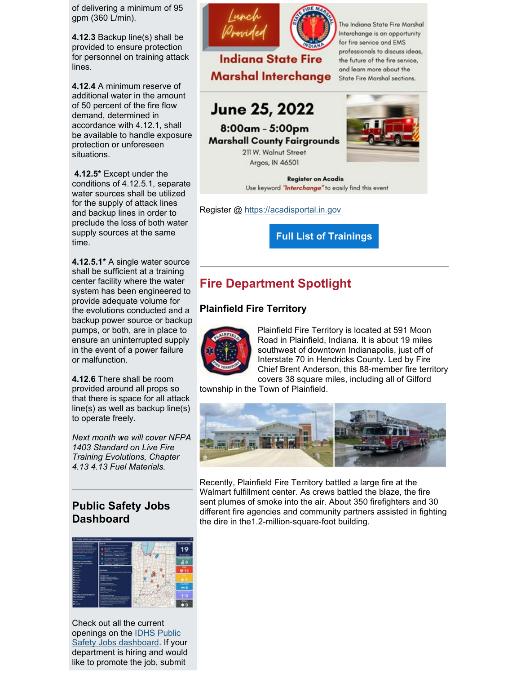of delivering a minimum of 95 gpm (360 L/min).

**4.12.3** Backup line(s) shall be provided to ensure protection for personnel on training attack lines.

**4.12.4** A minimum reserve of additional water in the amount of 50 percent of the fire flow demand, determined in accordance with 4.12.1, shall be available to handle exposure protection or unforeseen situations.

**4.12.5\*** Except under the conditions of 4.12.5.1, separate water sources shall be utilized for the supply of attack lines and backup lines in order to preclude the loss of both water supply sources at the same time.

**4.12.5.1\*** A single water source shall be sufficient at a training center facility where the water system has been engineered to provide adequate volume for the evolutions conducted and a backup power source or backup pumps, or both, are in place to ensure an uninterrupted supply in the event of a power failure or malfunction.

**4.12.6** There shall be room provided around all props so that there is space for all attack line(s) as well as backup line(s) to operate freely.

*Next month we will cover NFPA 1403 Standard on Live Fire Training Evolutions, Chapter 4.13 4.13 Fuel Materials.* 

## **Public Safety Jobs Dashboard**



Check out all the current openings on the [IDHS Public](https://www.in.gov/dhs/fire-and-building-safety/public-safety-job-postings/?utm_medium=email&utm_source=govdelivery)  [Safety Jobs dashboard.](https://www.in.gov/dhs/fire-and-building-safety/public-safety-job-postings/?utm_medium=email&utm_source=govdelivery) If your department is hiring and would like to promote the job, submit





The Indiana State Fire Marshal Interchange is an opportunity for fire service and EMS professionals to discuss ideas, the future of the fire service, and learn more about the State Fire Marshal sections.

# **June 25, 2022**

8:00am - 5:00pm **Marshall County Fairgrounds** 

> 211 W. Walnut Street Argos, IN 46501



**Register on Acadis** Use keyword "Interchange" to easily find this event

Register @ [https://acadisportal.in.gov](https://acadisportal.in.gov/?utm_medium=email&utm_source=govdelivery)

**[Full List of Trainings](https://protect2.fireeye.com/v1/url?k=31323334-50bba2bf-31367a34-4544474f5631-d0326531103ef92b&q=1&e=4e13cd71-1316-499a-936d-52a5ccd0fbf6&u=https%3A%2F%2Fcontent.govdelivery.com%2Fattachments%2FINDHS%2F2022%2F04%2F22%2Ffile_attachments%2F2139358%2FUpcoming%2520Trainings%2520April%2520Bugle.docx)**

## **Fire Department Spotlight**

#### **Plainfield Fire Territory**



Plainfield Fire Territory is located at 591 Moon Road in Plainfield, Indiana. It is about 19 miles southwest of downtown Indianapolis, just off of Interstate 70 in Hendricks County. Led by Fire Chief Brent Anderson, this 88-member fire territory covers 38 square miles, including all of Gilford

township in the Town of Plainfield.



Recently, Plainfield Fire Territory battled a large fire at the Walmart fulfillment center. As crews battled the blaze, the fire sent plumes of smoke into the air. About 350 firefighters and 30 different fire agencies and community partners assisted in fighting the dire in the1.2-million-square-foot building.